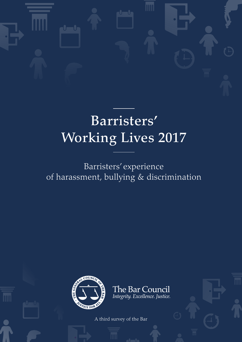

# Barristers' Working Lives 2017

# Barristers' experience of harassment, bullying & discrimination



The Bar Council Integrity. Excellence. Justice.

A third survey of the Bar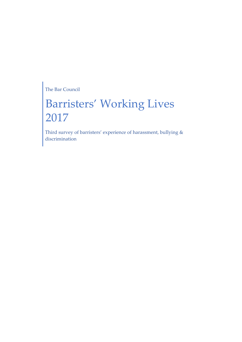The Bar Council

# Barristers' Working Lives 2017

Third survey of barristers' experience of harassment, bullying & discrimination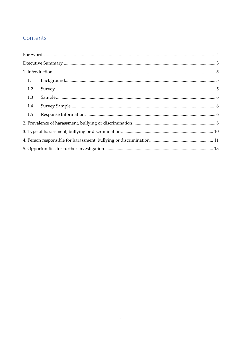## Contents

| 1.1 |  |
|-----|--|
| 1.2 |  |
| 1.3 |  |
| 1.4 |  |
| 1.5 |  |
|     |  |
|     |  |
|     |  |
|     |  |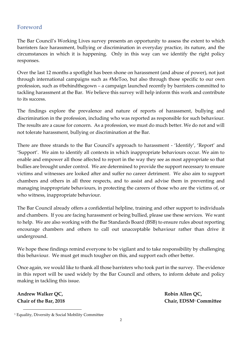#### Foreword

The Bar Council's Working Lives survey presents an opportunity to assess the extent to which barristers face harassment, bullying or discrimination in everyday practice, its nature, and the circumstances in which it is happening. Only in this way can we identify the right policy responses.

Over the last 12 months a spotlight has been shone on harassment (and abuse of power), not just through international campaigns such as #MeToo, but also through those specific to our own profession, such as @behindthegown – a campaign launched recently by barristers committed to tackling harassment at the Bar. We believe this survey will help inform this work and contribute to its success.

The findings explore the prevalence and nature of reports of harassment, bullying and discrimination in the profession, including who was reported as responsible for such behaviour. The results are a cause for concern. As a profession, we must do much better. We do not and will not tolerate harassment, bullying or discrimination at the Bar.

There are three strands to the Bar Council's approach to harassment - 'Identify', 'Report' and 'Support'. We aim to identify all contexts in which inappropriate behaviours occur. We aim to enable and empower all those affected to report in the way they see as most appropriate so that bullies are brought under control. We are determined to provide the support necessary to ensure victims and witnesses are looked after and suffer no career detriment. We also aim to support chambers and others in all three respects, and to assist and advise them in preventing and managing inappropriate behaviours, in protecting the careers of those who are the victims of, or who witness, inappropriate behaviour.

The Bar Council already offers a confidential helpline, training and other support to individuals and chambers. If you are facing harassment or being bullied, please use these services. We want to help. We are also working with the Bar Standards Board (BSB) to ensure rules about reporting encourage chambers and others to call out unacceptable behaviour rather than drive it underground.

We hope these findings remind everyone to be vigilant and to take responsibility by challenging this behaviour. We must get much tougher on this, and support each other better.

Once again, we would like to thank all those barristers who took part in the survey. The evidence in this report will be used widely by the Bar Council and others, to inform debate and policy making in tackling this issue.

**Andrew Walker QC, Robin Allen QC,**

**.** 

**Chair of the Bar, 2018 Chair, EDSM<sup>1</sup> Committee**

<sup>&</sup>lt;sup>1</sup> Equality, Diversity & Social Mobility Committee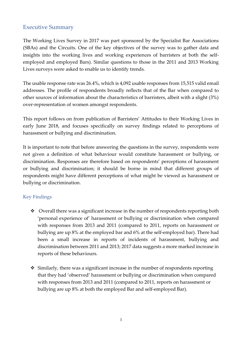#### Executive Summary

The Working Lives Survey in 2017 was part sponsored by the Specialist Bar Associations (SBAs) and the Circuits. One of the key objectives of the survey was to gather data and insights into the working lives and working experiences of barristers at both the selfemployed and employed Bars). Similar questions to those in the 2011 and 2013 Working Lives surveys were asked to enable us to identify trends.

The usable response rate was 26.4%, which is 4,092 usable responses from 15,515 valid email addresses. The profile of respondents broadly reflects that of the Bar when compared to other sources of information about the characteristics of barristers, albeit with a slight (3%) over-representation of women amongst respondents.

This report follows on from publication of Barristers' Attitudes to their Working Lives in early June 2018, and focuses specifically on survey findings related to perceptions of harassment or bullying and discrimination.

It is important to note that before answering the questions in the survey, respondents were not given a definition of what behaviour would constitute harassment or bullying, or discrimination. Responses are therefore based on respondents' perceptions of harassment or bullying and discrimination; it should be borne in mind that different groups of respondents might have different perceptions of what might be viewed as harassment or bullying or discrimination.

#### Key Findings

- ❖ Overall there was a significant increase in the number of respondents reporting both 'personal experience of' harassment or bullying or discrimination when compared with responses from 2013 and 2011 (compared to 2011, reports on harassment or bullying are up 8% at the employed bar and 6% at the self-employed bar). There had been a small increase in reports of incidents of harassment, bullying and discrimination between 2011 and 2013; 2017 data suggests a more marked increase in reports of these behaviours.
- ❖ Similarly, there was a significant increase in the number of respondents reporting that they had 'observed' harassment or bullying or discrimination when compared with responses from 2013 and 2011 (compared to 2011, reports on harassment or bullying are up 8% at both the employed Bar and self-employed Bar).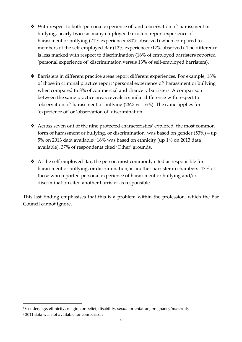- ❖ With respect to both 'personal experience of' and 'observation of' harassment or bullying, nearly twice as many employed barristers report experience of harassment or bullying (21% experienced/30% observed) when compared to members of the self-employed Bar (12% experienced/17% observed). The difference is less marked with respect to discrimination (16% of employed barristers reported 'personal experience of' discrimination versus 13% of self-employed barristers).
- ❖ Barristers in different practice areas report different experiences. For example, 18% of those in criminal practice report 'personal experience of' harassment or bullying when compared to 8% of commercial and chancery barristers. A comparison between the same practice areas reveals a similar difference with respect to 'observation of' harassment or bullying (26% vs. 16%). The same applies for 'experience of' or 'observation of' discrimination.
- $\triangleleft$  Across seven out of the nine protected characteristics<sup>2</sup> explored, the most common form of harassment or bullying, or discrimination, was based on gender (53%) – up 5% on 2013 data available<sup>3</sup> ; 16% was based on ethnicity (up 1% on 2013 data available). 37% of respondents cited 'Other' grounds.
- ❖ At the self-employed Bar, the person most commonly cited as responsible for harassment or bullying, or discrimination, is another barrister in chambers. 47% of those who reported personal experience of harassment or bullying and/or discrimination cited another barrister as responsible.

This last finding emphasises that this is a problem within the profession, which the Bar Council cannot ignore.

1

<sup>2</sup> Gender, age, ethnicity, religion or belief, disability, sexual orientation, pregnancy/maternity

<sup>3</sup> 2011 data was not available for comparison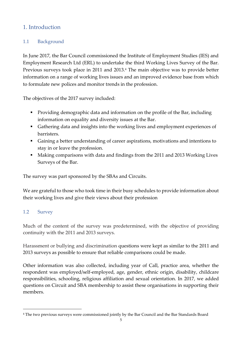### 1. Introduction

#### 1.1 Background

In June 2017, the Bar Council commissioned the Institute of Employment Studies (IES) and Employment Research Ltd (ERL) to undertake the third Working Lives Survey of the Bar. Previous surveys took place in 2011 and 2013.<sup>4</sup> The main objective was to provide better information on a range of working lives issues and an improved evidence base from which to formulate new polices and monitor trends in the profession.

The objectives of the 2017 survey included:

- Providing demographic data and information on the profile of the Bar, including information on equality and diversity issues at the Bar.
- Gathering data and insights into the working lives and employment experiences of barristers.
- Gaining a better understanding of career aspirations, motivations and intentions to stay in or leave the profession.
- Making comparisons with data and findings from the 2011 and 2013 Working Lives Surveys of the Bar.

The survey was part sponsored by the SBAs and Circuits.

We are grateful to those who took time in their busy schedules to provide information about their working lives and give their views about their profession

#### 1.2 Survey

 $\overline{a}$ 

Much of the content of the survey was predetermined, with the objective of providing continuity with the 2011 and 2013 surveys.

Harassment or bullying and discrimination questions were kept as similar to the 2011 and 2013 surveys as possible to ensure that reliable comparisons could be made.

Other information was also collected, including year of Call, practice area, whether the respondent was employed/self-employed, age, gender, ethnic origin, disability, childcare responsibilities, schooling, religious affiliation and sexual orientation. In 2017, we added questions on Circuit and SBA membership to assist these organisations in supporting their members.

<sup>&</sup>lt;sup>4</sup> The two previous surveys were commissioned jointly by the Bar Council and the Bar Standards Board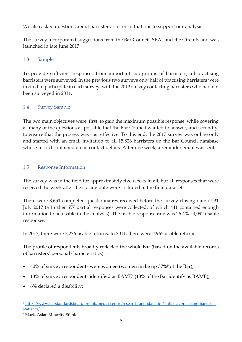We also asked questions about barristers' current situations to support our analysis.

The survey incorporated suggestions from the Bar Council, SBAs and the Circuits and was launched in late June 2017.

#### 1.3 Sample

To provide sufficient responses from important sub-groups of barristers, all practising barristers were surveyed. In the previous two surveys only half of practising barristers were invited to participate in each survey, with the 2013 survey contacting barristers who had not been surveyed in 2011.

#### 1.4 Survey Sample

The two main objectives were, first, to gain the maximum possible response, while covering as many of the questions as possible that the Bar Council wanted to answer, and secondly, to ensure that the process was cost effective. To this end, the 2017 survey was online only and started with an email invitation to all 15,826 barristers on the Bar Council database whose record contained email contact details. After one week, a reminder email was sent.

#### 1.5 Response Information

The survey was in the field for approximately five weeks in all, but all responses that were received the week after the closing date were included in the final data set.

There were 3,651 completed questionnaires received before the survey closing date of 31 July 2017 (a further 657 partial responses were collected, of which 441 contained enough information to be usable in the analysis). The usable response rate was 26.4%– 4,092 usable responses.

In 2013, there were 3,276 usable returns. In 2011, there were 2,965 usable returns.

The profile of respondents broadly reflected the whole Bar (based on the available records of barristers' personal characteristics):

- 40% of survey respondents were women (women make up  $37\%$ <sup>5</sup> of the Bar);
- 13% of survey respondents identified as BAME<sup>6</sup> (13% of the Bar identify as BAME);
- 6% declared a disability;

 $\overline{a}$ 

<sup>5</sup> [https://www.barstandardsboard.org.uk/media-centre/research-and-statistics/statistics/practising-barrister](https://www.barstandardsboard.org.uk/media-centre/research-and-statistics/statistics/practising-barrister-statistics/)[statistics/](https://www.barstandardsboard.org.uk/media-centre/research-and-statistics/statistics/practising-barrister-statistics/)

<sup>6</sup> Black, Asian Minority Ethnic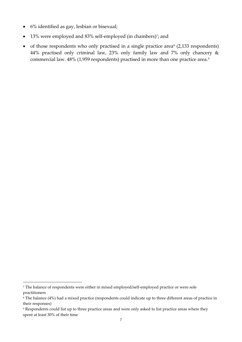- 6% identified as gay, lesbian or bisexual;
- 13% were employed and 83% self-employed (in chambers)<sup>7</sup>; and
- of those respondents who only practised in a single practice area<sup>8</sup> (2,133 respondents) 44% practised only criminal law, 23% only family law and 7% only chancery & commercial law. 48% (1,959 respondents) practised in more than one practice area.<sup>9</sup>

**.** 

<sup>7</sup> The balance of respondents were either in mixed employed/self-employed practice or were sole practitioners

<sup>8</sup> The balance (4%) had a mixed practice (respondents could indicate up to three different areas of practice in their responses)

<sup>9</sup> Respondents could list up to three practice areas and were only asked to list practice areas where they spent at least 30% of their time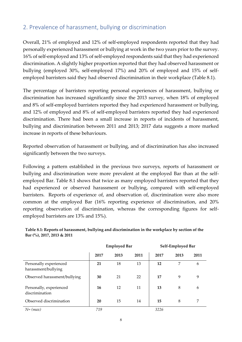# 2. Prevalence of harassment, bullying or discrimination

Overall, 21% of employed and 12% of self-employed respondents reported that they had personally experienced harassment or bullying at work in the two years prior to the survey. 16% of self-employed and 13% of self-employed respondents said that they had experienced discrimination. A slightly higher proportion reported that they had observed harassment or bullying (employed 30%, self-employed 17%) and 20% of employed and 15% of selfemployed barristers said they had observed discrimination in their workplace (Table 8.1).

The percentage of barristers reporting personal experiences of harassment, bullying or discrimination has increased significantly since the 2013 survey, when 18% of employed and 8% of self-employed barristers reported they had experienced harassment or bullying, and 12% of employed and 8% of self-employed barristers reported they had experienced discrimination. There had been a small increase in reports of incidents of harassment, bullying and discrimination between 2011 and 2013; 2017 data suggests a more marked increase in reports of these behaviours.

Reported observation of harassment or bullying, and of discrimination has also increased significantly between the two surveys.

Following a pattern established in the previous two surveys, reports of harassment or bullying and discrimination were more prevalent at the employed Bar than at the selfemployed Bar. Table 8.1 shows that twice as many employed barristers reported that they had experienced or observed harassment or bullying, compared with self-employed barristers. Reports of experience of, and observation of, discrimination were also more common at the employed Bar (16% reporting experience of discrimination, and 20% reporting observation of discrimination, whereas the corresponding figures for selfemployed barristers are 13% and 15%).

| Table 8.1: Reports of harassment, bullying and discrimination in the workplace by section of the |  |  |  |
|--------------------------------------------------------------------------------------------------|--|--|--|
| Bar $\frac{6}{6}$ , 2017, 2013 & 2011                                                            |  |  |  |

|                                               |      | <b>Employed Bar</b> |      |      | Self-Employed Bar |      |
|-----------------------------------------------|------|---------------------|------|------|-------------------|------|
|                                               | 2017 | 2013                | 2011 | 2017 | 2013              | 2011 |
| Personally experienced<br>harassment/bullying | 21   | 18                  | 13   | 12   | 7                 | 6    |
| Observed harassment/bullying                  | 30   | 21                  | 22   | 17   | 9                 | 9    |
| Personally, experienced<br>discrimination     | 16   | 12                  | 11   | 13   | 8                 | 6    |
| Observed discrimination                       | 20   | 15                  | 14   | 15   | 8                 | 7    |
| $N = (max)$                                   | 719  |                     |      | 3226 |                   |      |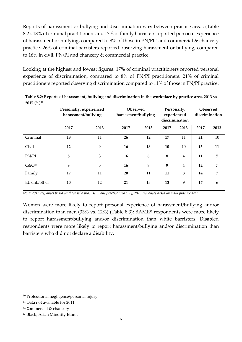Reports of harassment or bullying and discrimination vary between practice areas (Table 8.2). 18% of criminal practitioners and 17% of family barristers reported personal experience of harassment or bullying, compared to 8% of those in PN/PI<sup>10</sup> and commercial & chancery practice. 26% of criminal barristers reported observing harassment or bullying, compared to 16% in civil, PN/PI and chancery & commercial practice.

Looking at the highest and lowest figures, 17% of criminal practitioners reported personal experience of discrimination, compared to 8% of PN/PI practitioners. 21% of criminal practitioners reported observing discrimination compared to 11% of those in PN/PI practice.

**Personally, experienced harassment/bullying Observed harassment/bullying Personally, experienced discrimination Observed discrimination 2017 2013 2017 2013 2017 2013 2017 2013** Criminal **18** 11 **26** 12 **17** 11 **21** 10 Civil **12** 9 **16** 13 **10** 10 **13** 11 PN/PI **8** 3 **16** 6 **8** 4 **11** 5 C&C<sup>12</sup> **8** 5 **16** 8 **9** 4 **12** 7 Family **17** 11 **20** 11 **11** 8 **14** 7 EU/Int./other **10** 12 **21** 13 **13** 9 **17** 6

**Table 8.2: Reports of harassment, bullying and discrimination in the workplace by practice area, 2013 vs 2017 (%)<sup>11</sup>**

*Note: 2017 responses based on those who practise in one practice area only, 2013 responses based on main practice area*

Women were more likely to report personal experience of harassment/bullying and/or discrimination than men (33% vs. 12%) (Table 8.3); BAME<sup>13</sup> respondents were more likely to report harassment/bullying and/or discrimination than white barristers. Disabled respondents were more likely to report harassment/bullying and/or discrimination than barristers who did not declare a disability.

**.** 

<sup>10</sup> Professional negligence/personal injury

<sup>11</sup> Data not available for 2011

<sup>12</sup> Commercial & chancery

<sup>13</sup> Black, Asian Minority Ethnic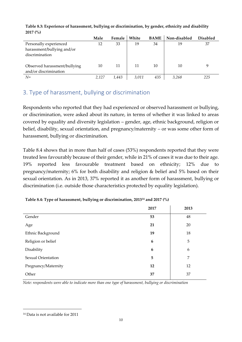|                              | Male  | Female | White | <b>BAME</b> | Non-disabled | <b>Disabled</b> |
|------------------------------|-------|--------|-------|-------------|--------------|-----------------|
| Personally experienced       | 12    | 33     | 19    | 34          | 19           | 37              |
| harassment/bullying and/or   |       |        |       |             |              |                 |
| discrimination               |       |        |       |             |              |                 |
|                              |       |        |       |             |              |                 |
| Observed harassment/bullying | 10    | 11     | 11    | 10          | 10           | 9               |
| and/or discrimination        |       |        |       |             |              |                 |
| $N =$                        | 2,127 | 1,443  | 3,011 | 435         | 3.268        | 225             |

**Table 8.3: Experience of harassment, bullying or discrimination, by gender, ethnicity and disability 2017 (%)**

# 3. Type of harassment, bullying or discrimination

Respondents who reported that they had experienced or observed harassment or bullying, or discrimination, were asked about its nature, in terms of whether it was linked to areas covered by equality and diversity legislation – gender, age, ethnic background, religion or belief, disability, sexual orientation, and pregnancy/maternity – or was some other form of harassment, bullying or discrimination.

Table 8.4 shows that in more than half of cases (53%) respondents reported that they were treated less favourably because of their gender, while in 21% of cases it was due to their age. 19% reported less favourable treatment based on ethnicity; 12% due to pregnancy/maternity; 6% for both disability and religion & belief and 5% based on their sexual orientation. As in 2013, 37% reported it as another form of harassment, bullying or discrimination (i.e. outside those characteristics protected by equality legislation).

|                     | 2017 | 2013 |
|---------------------|------|------|
| Gender              | 53   | 48   |
| Age                 | 21   | 20   |
| Ethnic Background   | 19   | 18   |
| Religion or belief  | 6    | 5    |
| Disability          | 6    | 6    |
| Sexual Orientation  | 5    | 7    |
| Pregnancy/Maternity | 12   | 12   |
| Other               | 37   | 37   |

*Note: respondents were able to indicate more than one type of harassment, bullying or discrimination*

 $\overline{a}$ 

<sup>14</sup> Data is not available for 2011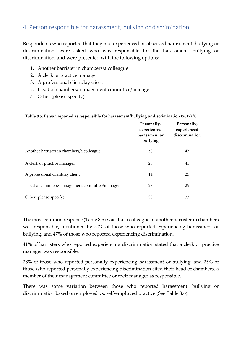## 4. Person responsible for harassment, bullying or discrimination

Respondents who reported that they had experienced or observed harassment. bullying or discrimination, were asked who was responsible for the harassment, bullying or discrimination, and were presented with the following options:

- 1. Another barrister in chambers/a colleague
- 2. A clerk or practice manager
- 3. A professional client/lay client
- 4. Head of chambers/management committee/manager
- 5. Other (please specify)

**Table 8.5: Person reported as responsible for harassment/bullying or discrimination (2017) %**

| Personally,<br>experienced<br>harassment or<br>bullying | Personally,<br>experienced<br>discrimination |
|---------------------------------------------------------|----------------------------------------------|
| 50                                                      | 47                                           |
| 28                                                      | 41                                           |
| 14                                                      | 25                                           |
| 28                                                      | 25                                           |
| 38                                                      | 33                                           |
|                                                         |                                              |

The most common response (Table 8.5) was that a colleague or another barrister in chambers was responsible, mentioned by 50% of those who reported experiencing harassment or bullying, and 47% of those who reported experiencing discrimination.

41% of barristers who reported experiencing discrimination stated that a clerk or practice manager was responsible.

28% of those who reported personally experiencing harassment or bullying, and 25% of those who reported personally experiencing discrimination cited their head of chambers, a member of their management committee or their manager as responsible.

There was some variation between those who reported harassment, bullying or discrimination based on employed vs. self-employed practice (See Table 8.6).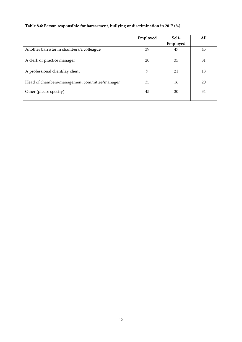|                                               | Employed | Self-<br>Employed | All |
|-----------------------------------------------|----------|-------------------|-----|
| Another barrister in chambers/a colleague     | 39       | 47                | 45  |
| A clerk or practice manager                   | 20       | 35                | 31  |
| A professional client/lay client              | 7        | 21                | 18  |
| Head of chambers/management committee/manager | 35       | 16                | 20  |
| Other (please specify)                        | 45       | 30                | 34  |

#### **Table 8.6: Person responsible for harassment, bullying or discrimination in 2017 (%)**